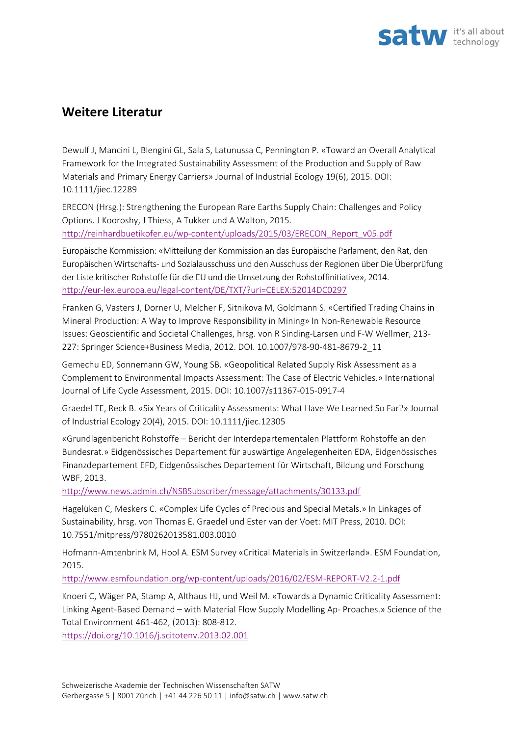

## **Weitere Literatur**

Dewulf J, Mancini L, Blengini GL, Sala S, Latunussa C, Pennington P. «Toward an Overall Analytical Framework for the Integrated Sustainability Assessment of the Production and Supply of Raw Materials and Primary Energy Carriers» Journal of Industrial Ecology 19(6), 2015. DOI: 10.1111/jiec.12289

ERECON (Hrsg.): Strengthening the European Rare Earths Supply Chain: Challenges and Policy Options. J Kooroshy, J Thiess, A Tukker und A Walton, 2015. http://reinhardbuetikofer.eu/wp-content/uploads/2015/03/ERECON\_Report\_v05.pdf

Europäische Kommission: «Mitteilung der Kommission an das Europäische Parlament, den Rat, den Europäischen Wirtschafts‐ und Sozialausschuss und den Ausschuss der Regionen über Die Überprüfung der Liste kritischer Rohstoffe für die EU und die Umsetzung der Rohstoffinitiative», 2014. http://eur‐lex.europa.eu/legal‐content/DE/TXT/?uri=CELEX:52014DC0297

Franken G, Vasters J, Dorner U, Melcher F, Sitnikova M, Goldmann S. «Certified Trading Chains in Mineral Production: A Way to Improve Responsibility in Mining» In Non‐Renewable Resource Issues: Geoscientific and Societal Challenges, hrsg. von R Sinding‐Larsen und F‐W Wellmer, 213‐ 227: Springer Science+Business Media, 2012. DOI. 10.1007/978‐90‐481‐8679‐2\_11

Gemechu ED, Sonnemann GW, Young SB. «Geopolitical Related Supply Risk Assessment as a Complement to Environmental Impacts Assessment: The Case of Electric Vehicles.» International Journal of Life Cycle Assessment, 2015. DOI: 10.1007/s11367‐015‐0917‐4

Graedel TE, Reck B. «Six Years of Criticality Assessments: What Have We Learned So Far?» Journal of Industrial Ecology 20(4), 2015. DOI: 10.1111/jiec.12305

«Grundlagenbericht Rohstoffe – Bericht der Interdepartementalen Plattform Rohstoffe an den Bundesrat.» Eidgenössisches Departement für auswärtige Angelegenheiten EDA, Eidgenössisches Finanzdepartement EFD, Eidgenössisches Departement für Wirtschaft, Bildung und Forschung WBF, 2013.

http://www.news.admin.ch/NSBSubscriber/message/attachments/30133.pdf

Hagelüken C, Meskers C. «Complex Life Cycles of Precious and Special Metals.» In Linkages of Sustainability, hrsg. von Thomas E. Graedel und Ester van der Voet: MIT Press, 2010. DOI: 10.7551/mitpress/9780262013581.003.0010

Hofmann‐Amtenbrink M, Hool A. ESM Survey «Critical Materials in Switzerland». ESM Foundation, 2015.

http://www.esmfoundation.org/wp‐content/uploads/2016/02/ESM‐REPORT‐V2.2‐1.pdf

Knoeri C, Wäger PA, Stamp A, Althaus HJ, und Weil M. «Towards a Dynamic Criticality Assessment: Linking Agent‐Based Demand – with Material Flow Supply Modelling Ap‐ Proaches.» Science of the Total Environment 461‐462, (2013): 808‐812.

https://doi.org/10.1016/j.scitotenv.2013.02.001